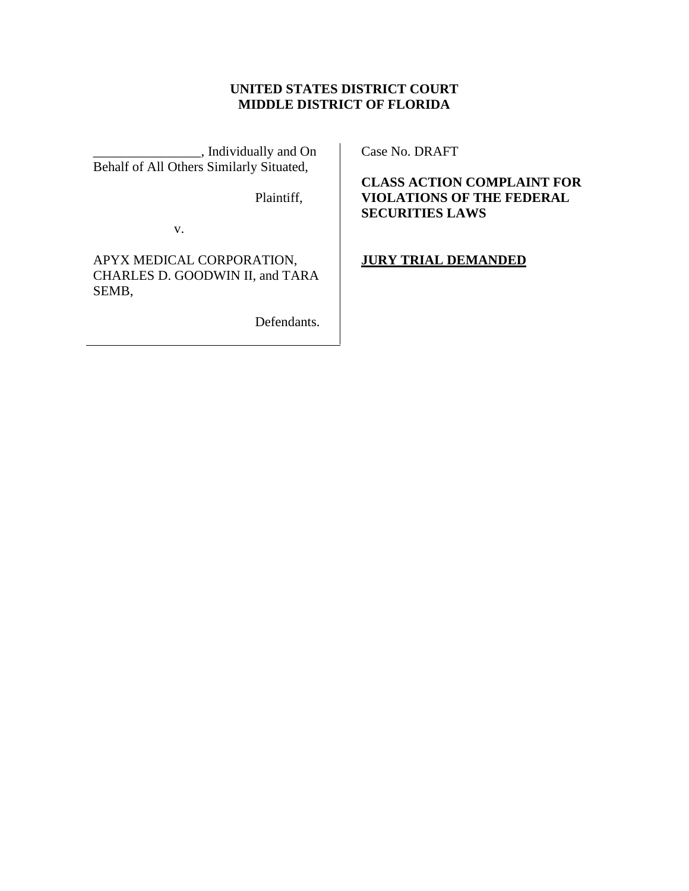# **UNITED STATES DISTRICT COURT MIDDLE DISTRICT OF FLORIDA**

\_\_\_\_\_\_\_\_\_\_\_\_\_\_\_\_, Individually and On Behalf of All Others Similarly Situated,

Plaintiff,

v.

APYX MEDICAL CORPORATION, CHARLES D. GOODWIN II, and TARA SEMB,

Defendants.

Case No. DRAFT

**CLASS ACTION COMPLAINT FOR VIOLATIONS OF THE FEDERAL SECURITIES LAWS**

**JURY TRIAL DEMANDED**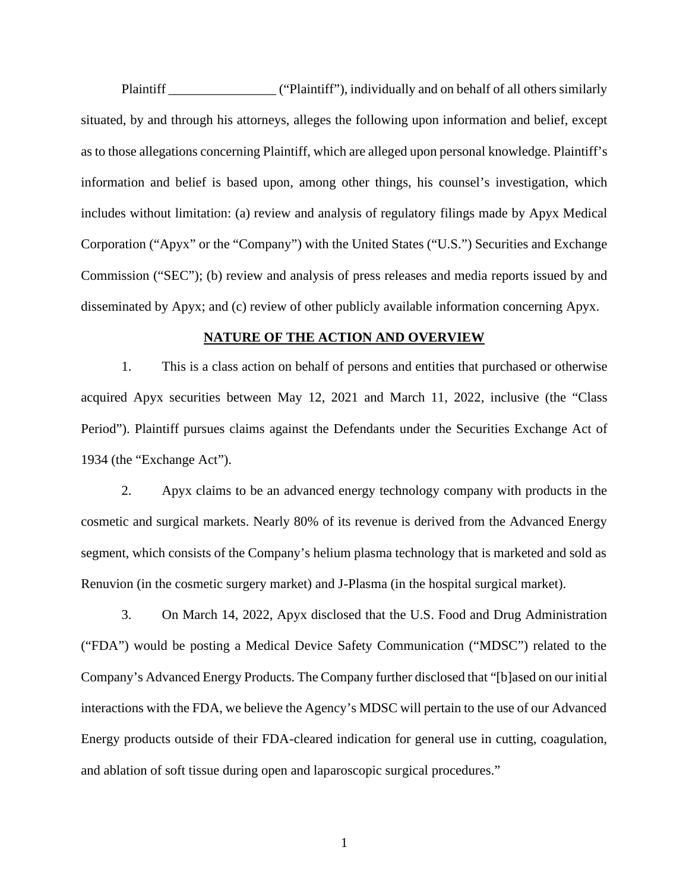Plaintiff \_\_\_\_\_\_\_\_\_\_\_\_\_\_\_\_ ("Plaintiff"), individually and on behalf of all others similarly situated, by and through his attorneys, alleges the following upon information and belief, except as to those allegations concerning Plaintiff, which are alleged upon personal knowledge. Plaintiff's information and belief is based upon, among other things, his counsel's investigation, which includes without limitation: (a) review and analysis of regulatory filings made by Apyx Medical Corporation ("Apyx" or the "Company") with the United States ("U.S.") Securities and Exchange Commission ("SEC"); (b) review and analysis of press releases and media reports issued by and disseminated by Apyx; and (c) review of other publicly available information concerning Apyx.

### **NATURE OF THE ACTION AND OVERVIEW**

1. This is a class action on behalf of persons and entities that purchased or otherwise acquired Apyx securities between May 12, 2021 and March 11, 2022, inclusive (the "Class Period"). Plaintiff pursues claims against the Defendants under the Securities Exchange Act of 1934 (the "Exchange Act").

2. Apyx claims to be an advanced energy technology company with products in the cosmetic and surgical markets. Nearly 80% of its revenue is derived from the Advanced Energy segment, which consists of the Company's helium plasma technology that is marketed and sold as Renuvion (in the cosmetic surgery market) and J-Plasma (in the hospital surgical market).

3. On March 14, 2022, Apyx disclosed that the U.S. Food and Drug Administration ("FDA") would be posting a Medical Device Safety Communication ("MDSC") related to the Company's Advanced Energy Products. The Company further disclosed that "[b]ased on our initial interactions with the FDA, we believe the Agency's MDSC will pertain to the use of our Advanced Energy products outside of their FDA-cleared indication for general use in cutting, coagulation, and ablation of soft tissue during open and laparoscopic surgical procedures."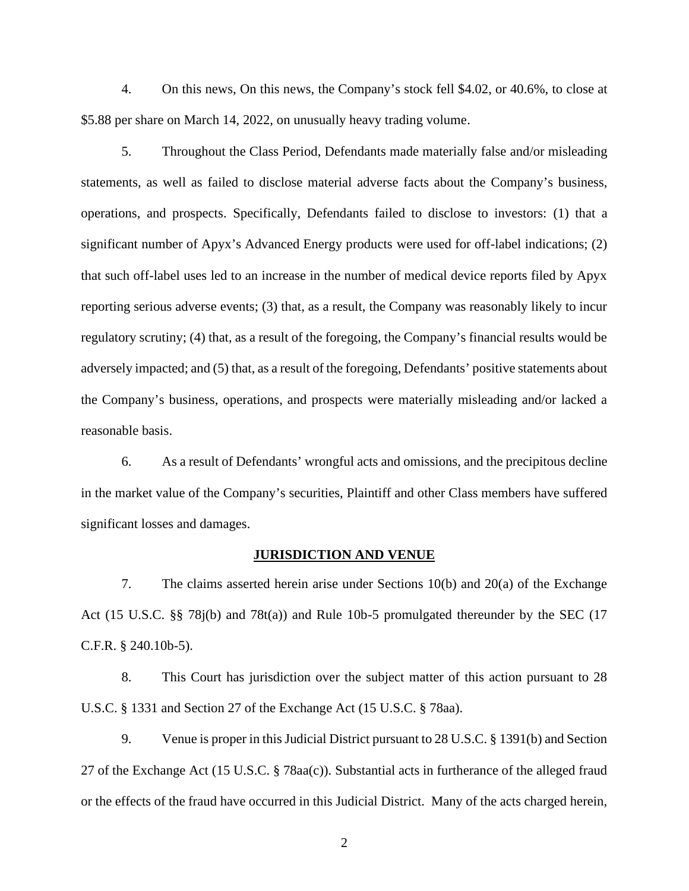4. On this news, On this news, the Company's stock fell \$4.02, or 40.6%, to close at \$5.88 per share on March 14, 2022, on unusually heavy trading volume.

5. Throughout the Class Period, Defendants made materially false and/or misleading statements, as well as failed to disclose material adverse facts about the Company's business, operations, and prospects. Specifically, Defendants failed to disclose to investors: (1) that a significant number of Apyx's Advanced Energy products were used for off-label indications; (2) that such off-label uses led to an increase in the number of medical device reports filed by Apyx reporting serious adverse events; (3) that, as a result, the Company was reasonably likely to incur regulatory scrutiny; (4) that, as a result of the foregoing, the Company's financial results would be adversely impacted; and (5) that, as a result of the foregoing, Defendants' positive statements about the Company's business, operations, and prospects were materially misleading and/or lacked a reasonable basis.

6. As a result of Defendants' wrongful acts and omissions, and the precipitous decline in the market value of the Company's securities, Plaintiff and other Class members have suffered significant losses and damages.

#### **JURISDICTION AND VENUE**

7. The claims asserted herein arise under Sections 10(b) and 20(a) of the Exchange Act (15 U.S.C. §§ 78j(b) and 78t(a)) and Rule 10b-5 promulgated thereunder by the SEC (17 C.F.R. § 240.10b-5).

8. This Court has jurisdiction over the subject matter of this action pursuant to 28 U.S.C. § 1331 and Section 27 of the Exchange Act (15 U.S.C. § 78aa).

9. Venue is proper in this Judicial District pursuant to 28 U.S.C. § 1391(b) and Section 27 of the Exchange Act (15 U.S.C. § 78aa(c)). Substantial acts in furtherance of the alleged fraud or the effects of the fraud have occurred in this Judicial District. Many of the acts charged herein,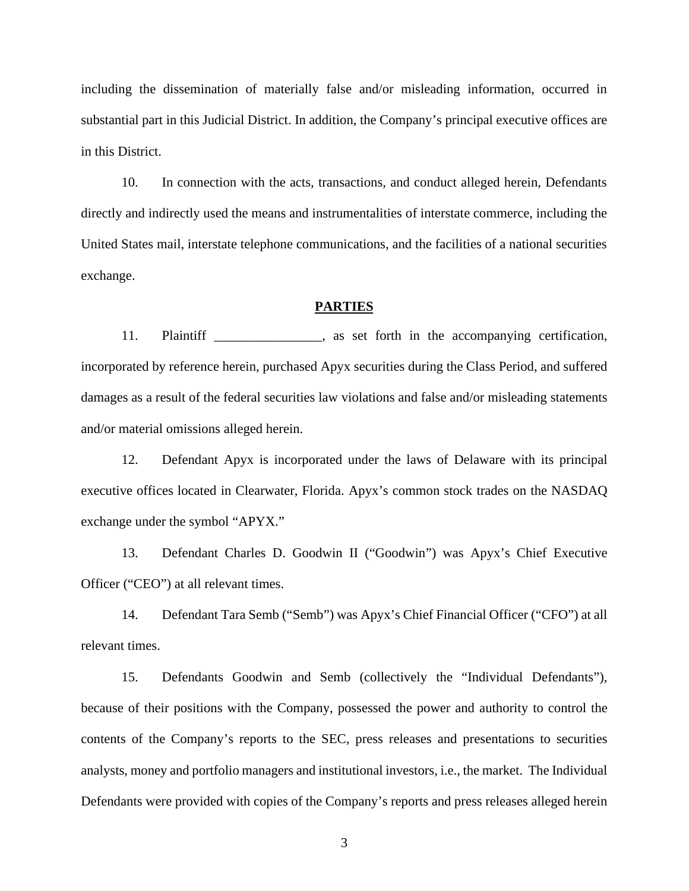including the dissemination of materially false and/or misleading information, occurred in substantial part in this Judicial District. In addition, the Company's principal executive offices are in this District.

10. In connection with the acts, transactions, and conduct alleged herein, Defendants directly and indirectly used the means and instrumentalities of interstate commerce, including the United States mail, interstate telephone communications, and the facilities of a national securities exchange.

### **PARTIES**

11. Plaintiff \_\_\_\_\_\_\_\_\_\_\_, as set forth in the accompanying certification, incorporated by reference herein, purchased Apyx securities during the Class Period, and suffered damages as a result of the federal securities law violations and false and/or misleading statements and/or material omissions alleged herein.

12. Defendant Apyx is incorporated under the laws of Delaware with its principal executive offices located in Clearwater, Florida. Apyx's common stock trades on the NASDAQ exchange under the symbol "APYX."

13. Defendant Charles D. Goodwin II ("Goodwin") was Apyx's Chief Executive Officer ("CEO") at all relevant times.

14. Defendant Tara Semb ("Semb") was Apyx's Chief Financial Officer ("CFO") at all relevant times.

15. Defendants Goodwin and Semb (collectively the "Individual Defendants"), because of their positions with the Company, possessed the power and authority to control the contents of the Company's reports to the SEC, press releases and presentations to securities analysts, money and portfolio managers and institutional investors, i.e., the market. The Individual Defendants were provided with copies of the Company's reports and press releases alleged herein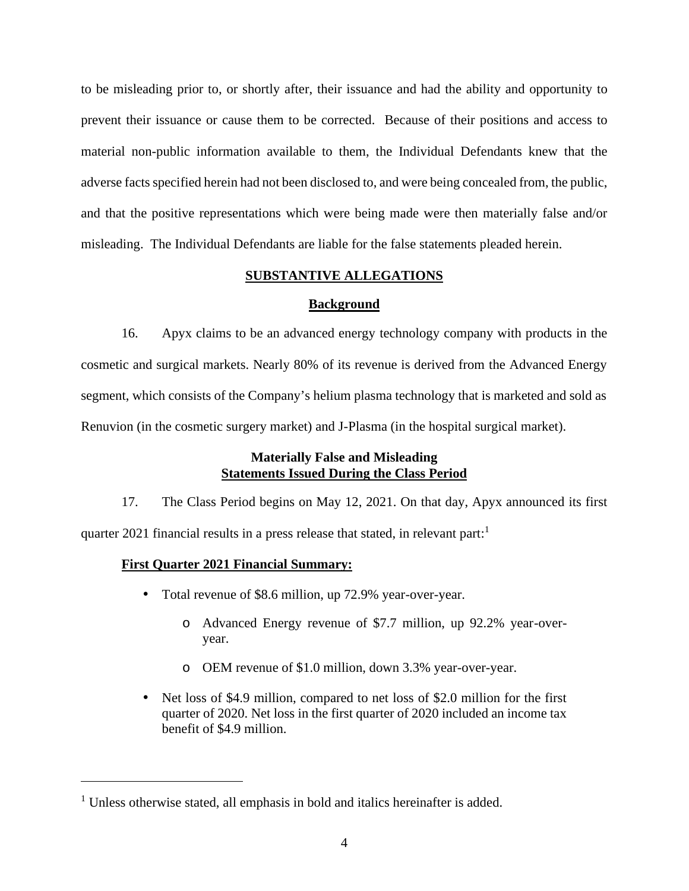to be misleading prior to, or shortly after, their issuance and had the ability and opportunity to prevent their issuance or cause them to becorrected. Because of their positions and access to material non-public information available to them, the Individual Defendants knew that the adverse facts specified herein had not been disclosed to, and were being concealed from, the public, and that the positive representations which were being made were then materially false and/or misleading. The Individual Defendants are liable for the false statements pleaded herein.

### **SUBSTANTIVE ALLEGATIONS**

#### **Background**

16. Apyx claims to be an advanced energy technology company with products in the cosmetic and surgical markets. Nearly 80% of its revenue is derived from the Advanced Energy segment, which consists of the Company's helium plasma technology that is marketed and sold as Renuvion (in the cosmetic surgery market) and J-Plasma (in the hospital surgical market).

# **Materially False and Misleading Statements Issued During the Class Period**

17. The Class Period begins on May 12, 2021. On that day, Apyx announced its first quarter 2021 financial results in a press release that stated, in relevant part:

### **First Quarter 2021 Financial Summary:**

- Total revenue of \$8.6 million, up 72.9% year-over-year.
	- o Advanced Energy revenue of \$7.7 million, up 92.2% year-over year.
	- o OEM revenue of \$1.0 million, down 3.3% year-over-year.
- Net loss of \$4.9 million, compared to net loss of \$2.0 million for the first quarter of 2020. Net loss in the first quarter of 2020 included an income tax benefit of \$4.9 million.

 $<sup>1</sup>$  Unless otherwise stated, all emphasis in bold and italics hereinafter is added.</sup>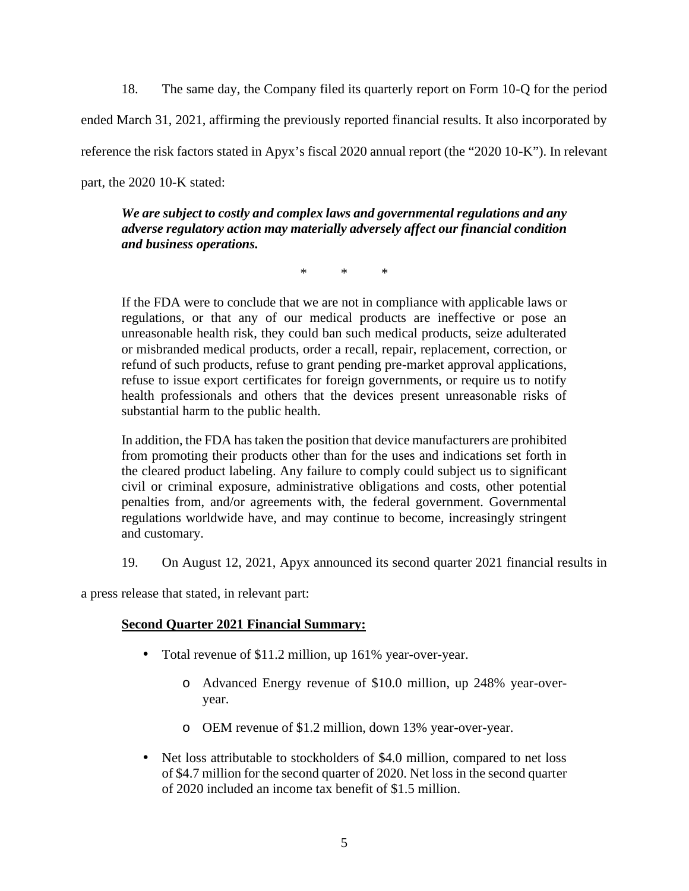18. The same day, the Company filed its quarterly report on Form 10-Q for the period ended March 31, 2021, affirming the previously reported financial results. It also incorporated by reference the risk factors stated in Apyx's fiscal 2020 annual report (the "2020 10-K"). In relevant part, the 2020 10-K stated:

*We are subject to costly and complex laws and governmental regulations and any adverse regulatory action may materially adversely affect our financial condition and business operations.*

\* \* \*

If the FDA were to conclude that we are not in compliance with applicable laws or regulations, or that any of our medical products are ineffective or pose an unreasonable health risk, they could ban such medical products, seize adulterated or misbranded medical products, order a recall, repair, replacement, correction, or refund of such products, refuse to grant pending pre-market approval applications, refuse to issue export certificates for foreign governments, or require us to notify health professionals and others that the devices present unreasonable risks of substantial harm to the public health.

In addition, the FDA has taken the position that device manufacturers are prohibited from promoting their products other than for the uses and indications set forth in the cleared product labeling. Any failure to comply could subject us to significant civil or criminal exposure, administrative obligations and costs, other potential penalties from, and/or agreements with, the federal government. Governmental regulations worldwide have, and may continue to become, increasingly stringent and customary.

19. On August 12, 2021, Apyx announced its second quarter 2021 financial results in

a press release that stated, in relevant part:

# **Second Quarter 2021 Financial Summary:**

- Total revenue of \$11.2 million, up 161% year-over-year.
	- o Advanced Energy revenue of \$10.0 million, up 248% year-over year.
	- o OEM revenue of \$1.2 million, down 13% year-over-year.
- Net loss attributable to stockholders of \$4.0 million, compared to net loss of \$4.7 million for the second quarter of 2020. Net loss in the second quarter of 2020 included an income tax benefit of \$1.5 million.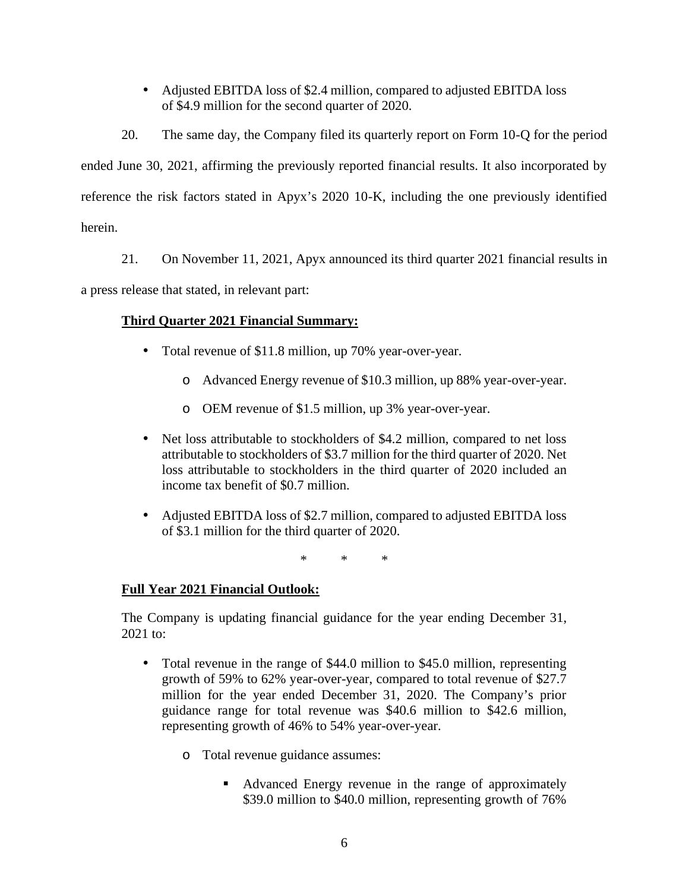• Adjusted EBITDA loss of \$2.4 million, compared to adjusted EBITDA loss of \$4.9 million for the second quarter of 2020.

20. The same day, the Company filed its quarterly report on Form 10-Q for the period ended June 30, 2021, affirming the previously reported financial results. It also incorporated by reference the risk factors stated in Apyx's 2020 10-K, including the one previously identified herein.

21. On November 11, 2021, Apyx announced its third quarter 2021 financial results in

a press release that stated, in relevant part:

# **Third Quarter 2021 Financial Summary:**

- Total revenue of \$11.8 million, up 70% year-over-year.
	- o Advanced Energy revenue of \$10.3 million, up 88% year-over-year.
	- o OEM revenue of \$1.5 million, up 3% year-over-year.
- Net loss attributable to stockholders of \$4.2 million, compared to net loss attributable to stockholders of \$3.7 million for the third quarter of 2020. Net loss attributable to stockholders in the third quarter of 2020 included an income tax benefit of \$0.7 million.
- Adjusted EBITDA loss of \$2.7 million, compared to adjusted EBITDA loss of \$3.1 million for the third quarter of 2020.

\* \* \*

# **Full Year 2021 Financial Outlook:**

The Company is updating financial guidance for the year ending December 31, 2021 to:

- Total revenue in the range of \$44.0 million to \$45.0 million, representing growth of 59% to 62% year-over-year, compared to total revenue of \$27.7 million for the year ended December 31, 2020. The Company's prior guidance range for total revenue was \$40.6 million to \$42.6 million, representing growth of 46% to 54% year-over-year.
	- o Total revenue guidance assumes:
		- Advanced Energy revenue in the range of approximately \$39.0 million to \$40.0 million, representing growth of 76%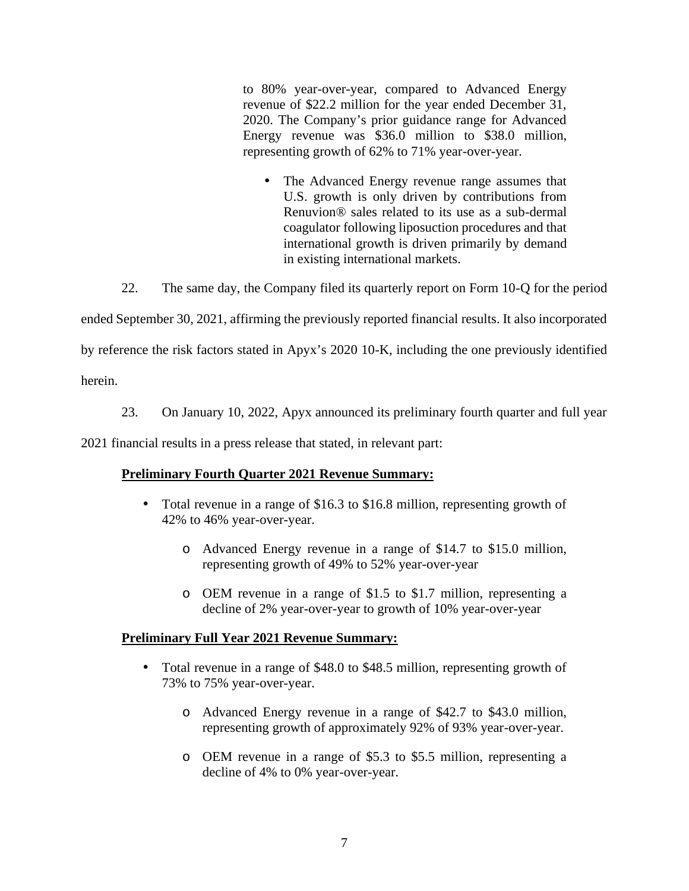to 80% year-over-year, compared to Advanced Energy revenue of \$22.2 million for the year ended December 31, 2020. The Company's prior guidance range for Advanced Energy revenue was \$36.0 million to \$38.0 million, representing growth of 62% to 71% year-over-year.

• The Advanced Energy revenue range assumes that U.S. growth is only driven by contributions from Renuvion® sales related to its use as a sub-dermal coagulator following liposuction procedures and that international growth is driven primarily by demand in existing international markets.

22. The same day, the Company filed its quarterly report on Form 10-Q for the period

ended September 30, 2021, affirming the previously reported financial results. It also incorporated

by reference the risk factors stated in Apyx's 2020 10-K, including the one previously identified

herein.

23. On January 10, 2022, Apyx announced its preliminary fourth quarter and full year

2021 financial results in a press release that stated, in relevant part:

# **Preliminary Fourth Quarter 2021 Revenue Summary:**

- Total revenue in a range of \$16.3 to \$16.8 million, representing growth of 42% to 46% year-over-year.
	- o Advanced Energy revenue in a range of \$14.7 to \$15.0 million, representing growth of 49% to 52% year-over-year
	- o OEM revenue in a range of \$1.5 to \$1.7 million, representing a decline of 2% year-over-year to growth of 10% year-over-year

# **Preliminary Full Year 2021 Revenue Summary:**

- Total revenue in a range of \$48.0 to \$48.5 million, representing growth of 73% to 75% year-over-year.
	- o Advanced Energy revenue in a range of \$42.7 to \$43.0 million, representing growth of approximately 92% of 93% year-over-year.
	- o OEM revenue in a range of \$5.3 to \$5.5 million, representing a decline of 4% to 0% year-over-year.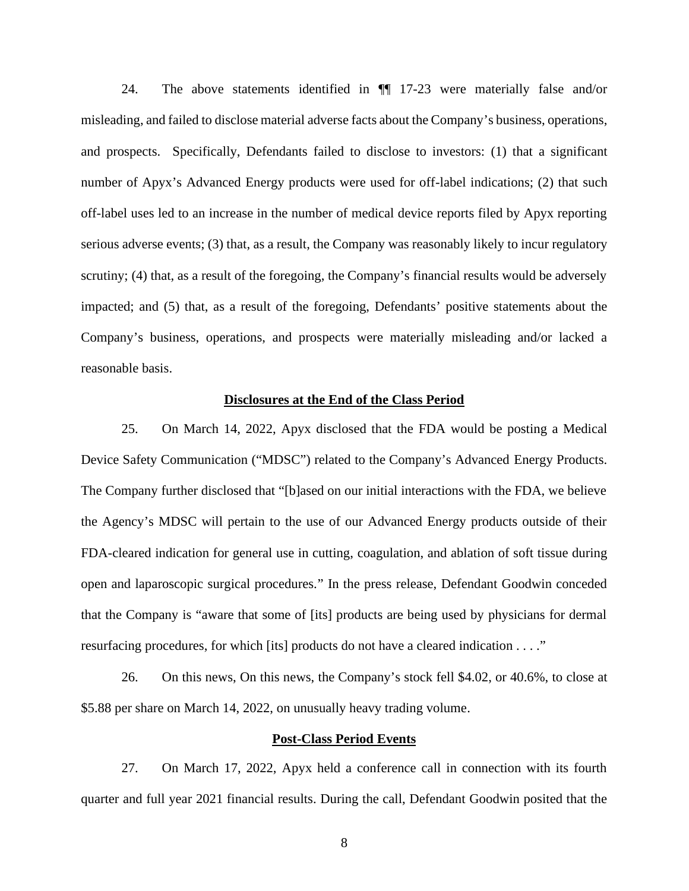24. The above statements identified in ¶¶ 17-23 were materially false and/or misleading, and failed to disclose material adverse facts about the Company's business, operations, and prospects. Specifically, Defendants failed to disclose to investors: (1) that a significant number of Apyx's Advanced Energy products were used for off-label indications; (2) that such off-label uses led to an increase in the number of medical device reports filed by Apyx reporting serious adverse events; (3) that, as a result, the Company was reasonably likely to incur regulatory scrutiny; (4) that, as a result of the foregoing, the Company's financial results would be adversely impacted; and (5) that, as a result of the foregoing, Defendants' positive statements about the Company's business, operations, and prospects were materially misleading and/or lacked a reasonable basis.

#### **Disclosures at the End of the Class Period**

25. On March 14, 2022, Apyx disclosed that the FDA would be posting a Medical Device Safety Communication ("MDSC") related to the Company's Advanced Energy Products. The Company further disclosed that "[b]ased on our initial interactions with the FDA, we believe the Agency's MDSC will pertain to the use of our Advanced Energy products outside of their FDA-cleared indication for general use in cutting, coagulation, and ablation of soft tissue during open and laparoscopic surgical procedures." In the press release, Defendant Goodwin conceded that the Company is "aware that some of [its] products are being used by physicians for dermal resurfacing procedures, for which [its] products do not have a cleared indication . . . ."

26. On this news, On this news, the Company's stock fell \$4.02, or 40.6%, to close at \$5.88 per share on March 14, 2022, on unusually heavy trading volume.

## **Post-Class Period Events**

27. On March 17, 2022, Apyx held a conference call in connection with its fourth quarter and full year 2021 financial results. During the call, Defendant Goodwin posited that the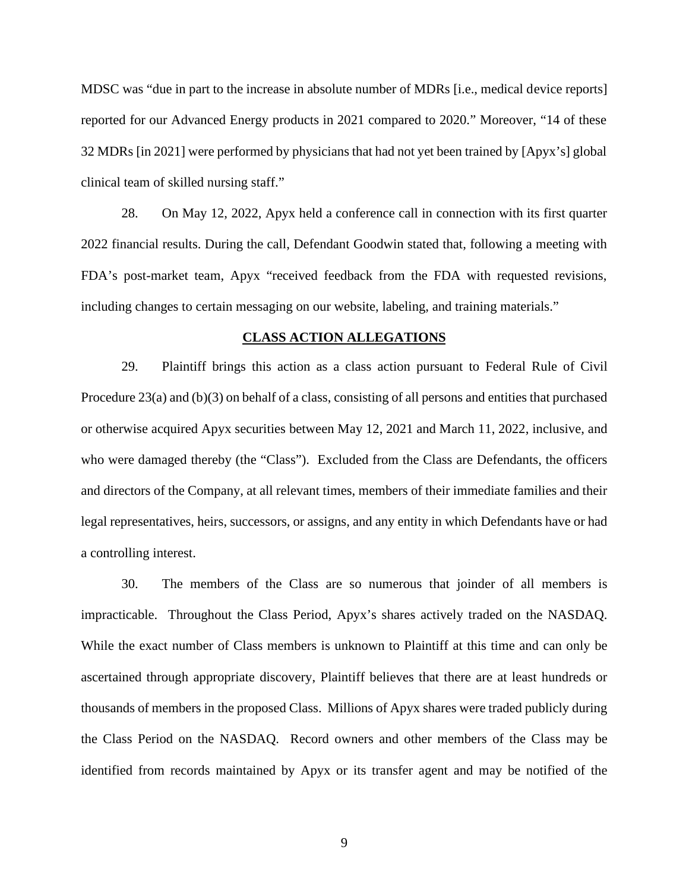MDSC was "due in part to the increase in absolute number of MDRs [i.e., medical device reports] reported for our Advanced Energy products in 2021 compared to 2020." Moreover, "14 of these 32 MDRs [in 2021] were performed by physicians that had not yet been trained by [Apyx's] global clinical team of skilled nursing staff."

28. On May 12, 2022, Apyx held a conference call in connection with its first quarter 2022 financial results. During the call, Defendant Goodwin stated that, following a meeting with FDA's post-market team, Apyx "received feedback from the FDA with requested revisions, including changes to certain messaging on our website, labeling, and training materials."

#### **CLASS ACTION ALLEGATIONS**

29. Plaintiff brings this action as a class action pursuant to Federal Rule of Civil Procedure 23(a) and (b)(3) on behalf of a class, consisting of all persons and entities that purchased or otherwise acquired Apyx securities between May 12, 2021 and March 11, 2022, inclusive, and who were damaged thereby (the "Class"). Excluded from the Class are Defendants, the officers and directors of the Company, at all relevant times, members of their immediate families and their legal representatives, heirs, successors, or assigns, and any entity in which Defendants have or had a controlling interest.

30. The members of the Class are so numerous that joinder of all members is impracticable. Throughout the Class Period, Apyx's shares actively traded on the NASDAQ. While the exact number of Class members is unknown to Plaintiff at this time and can only be ascertained through appropriate discovery, Plaintiff believes that there are at least hundreds or thousands of members in the proposed Class. Millions of Apyx shares were traded publicly during the Class Period on the NASDAQ. Record owners and other members of the Class may be identified from records maintained by Apyx or its transfer agent and may be notified of the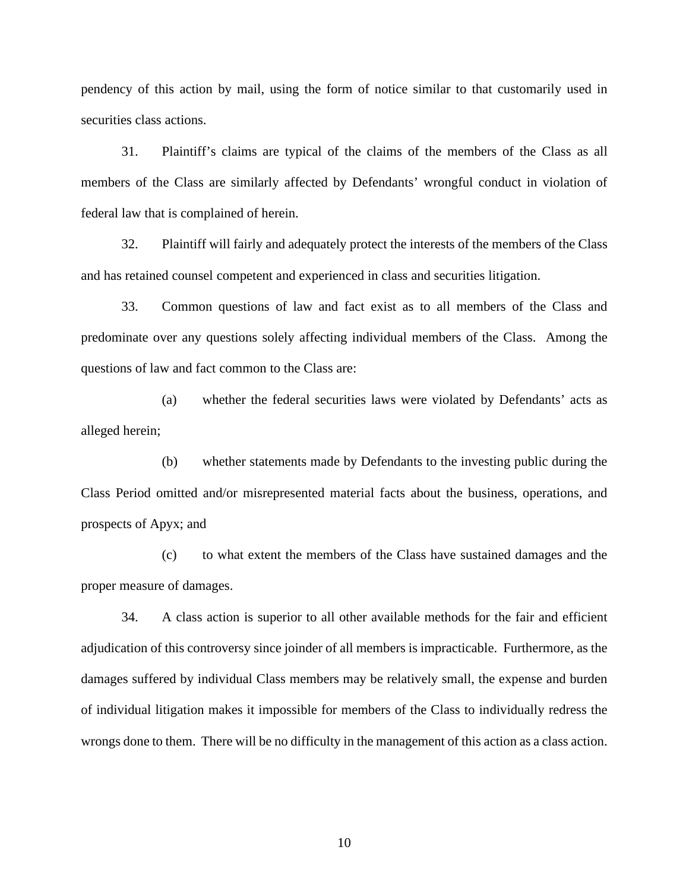pendency of this action by mail, using the form of notice similar to that customarily used in securities class actions.

31. Plaintiff's claims are typical of the claims of the members of the Class as all members of the Class are similarly affected by Defendants' wrongful conduct in violation of federal law that is complained of herein.

32. Plaintiff will fairly and adequately protect the interests of the members of the Class and has retained counsel competent and experienced in class and securities litigation.

33. Common questions of law and fact exist as to all members of the Class and predominate over any questions solely affecting individual members of the Class. Among the questions of law and fact common to the Class are:

(a) whether the federal securities laws were violated by Defendants' acts as alleged herein;

(b) whether statements made by Defendants to the investing public during the Class Period omitted and/or misrepresented material facts about the business, operations, and prospects of Apyx; and

(c) to what extent the members of the Class have sustained damages and the proper measure of damages.

34. A class action is superior to all other available methods for the fair and efficient adjudication of this controversy since joinder of all members is impracticable. Furthermore, as the damages suffered by individual Class members may be relatively small, the expense and burden of individual litigation makes it impossible for members of the Class to individually redress the wrongs done to them. There will be no difficulty in the management of this action as a class action.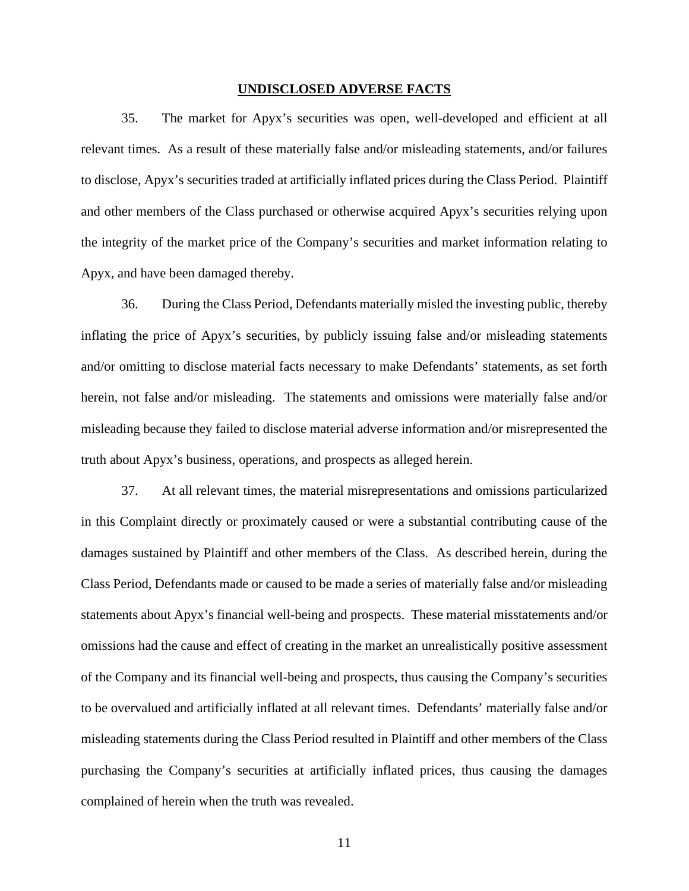#### **UNDISCLOSED ADVERSE FACTS**

35. The market for Apyx's securities was open, well-developed and efficient at all relevant times. As a result of these materially false and/or misleading statements, and/or failures to disclose, Apyx's securities traded at artificially inflated prices during the Class Period. Plaintiff and other members of the Class purchased or otherwise acquired Apyx's securities relying upon the integrity of the market price of the Company's securities and market information relating to Apyx, and have been damaged thereby.

36. During the Class Period, Defendants materially misled the investing public, thereby inflating the price of Apyx's securities, by publicly issuing false and/or misleading statements and/or omitting to disclose material facts necessary to make Defendants' statements, as set forth herein, not false and/or misleading. The statements and omissions were materially false and/or misleading because they failed to disclose material adverse information and/or misrepresented the truth about Apyx's business, operations, and prospects as alleged herein.

37. At all relevant times, the material misrepresentations and omissions particularized in this Complaint directly or proximately caused or were a substantial contributing cause of the damages sustained by Plaintiff and other members of the Class. As described herein, during the Class Period, Defendants made or caused to be made a series of materially false and/or misleading statements about Apyx's financial well-being and prospects. These material misstatements and/or omissions had the cause and effect of creating in the market an unrealistically positive assessment of the Company and its financial well-being and prospects, thus causing the Company's securities to be overvalued and artificially inflated at all relevant times. Defendants' materially false and/or misleading statements during the Class Period resulted in Plaintiff and other members of the Class purchasing the Company's securities at artificially inflated prices, thus causing the damages complained of herein when the truth was revealed.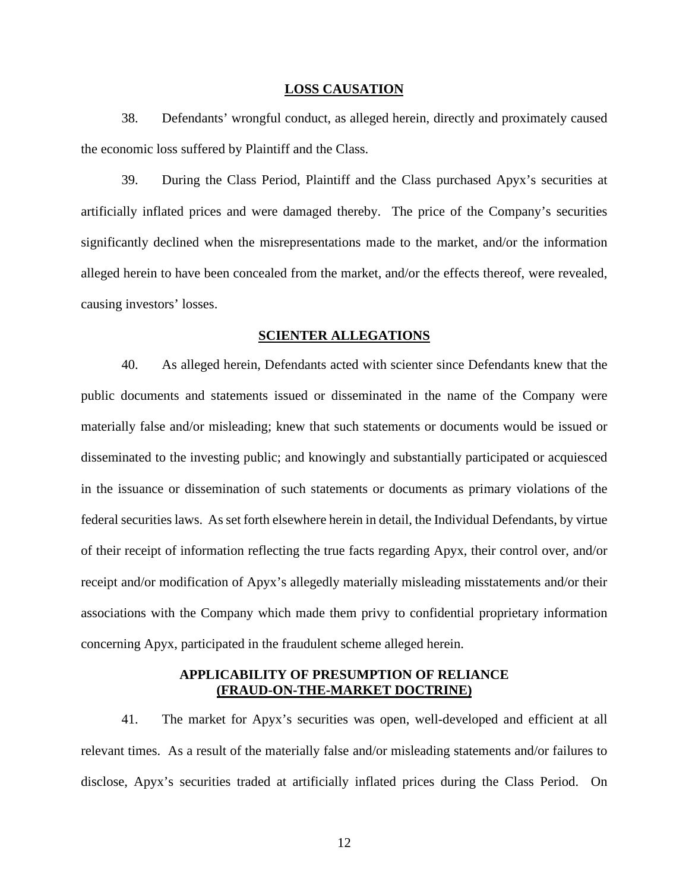#### **LOSS CAUSATION**

38. Defendants' wrongful conduct, as alleged herein, directly and proximately caused the economic loss suffered by Plaintiff and the Class.

39. During the Class Period, Plaintiff and the Class purchased Apyx's securities at artificially inflated prices and were damaged thereby. The price of the Company's securities significantly declined when the misrepresentations made to the market, and/or the information alleged herein to have been concealed from the market, and/or the effects thereof, were revealed, causing investors' losses.

#### **SCIENTER ALLEGATIONS**

40. As alleged herein, Defendants acted with scienter since Defendants knew that the public documents and statements issued or disseminated in the name of the Company were materially false and/or misleading; knew that such statements or documents would be issued or disseminated to the investing public; and knowingly and substantially participated or acquiesced in the issuance or dissemination of such statements or documents as primary violations of the federal securities laws. As set forth elsewhere herein in detail, the Individual Defendants, by virtue of their receipt of information reflecting the true facts regarding Apyx, their control over, and/or receipt and/or modification of Apyx's allegedly materially misleading misstatements and/or their associations with the Company which made them privy to confidential proprietary information concerning Apyx, participated in the fraudulent scheme alleged herein.

# **APPLICABILITY OF PRESUMPTION OF RELIANCE (FRAUD-ON-THE-MARKET DOCTRINE)**

41. The market for Apyx's securities was open, well-developed and efficient at all relevant times. As a result of the materially false and/or misleading statements and/or failures to disclose, Apyx's securities traded at artificially inflated prices during the Class Period. On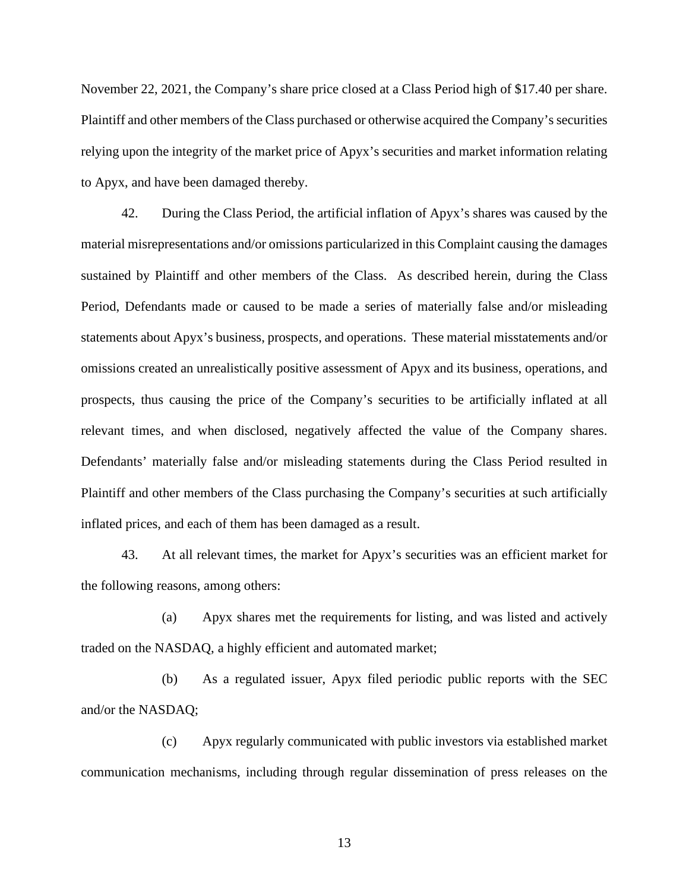November 22, 2021, the Company's share price closed at a Class Period high of \$17.40 per share. Plaintiff and other members of the Class purchased or otherwise acquired the Company's securities relying upon the integrity of the market price of Apyx's securities and market information relating to Apyx, and have been damaged thereby.

42. During the Class Period, the artificial inflation of Apyx's shares was caused by the material misrepresentations and/or omissions particularized in this Complaint causing the damages sustained by Plaintiff and other members of the Class. As described herein, during the Class Period, Defendants made or caused to be made a series of materially false and/or misleading statements about Apyx's business, prospects, and operations. These material misstatements and/or omissions created an unrealistically positive assessment of Apyx and its business, operations, and prospects, thus causing the price of the Company's securities to be artificially inflated at all relevant times, and when disclosed, negatively affected the value of the Company shares. Defendants' materially false and/or misleading statements during the Class Period resulted in Plaintiff and other members of the Class purchasing the Company's securities at such artificially inflated prices, and each of them has been damaged as a result.

43. At all relevant times, the market for Apyx's securities was an efficient market for the following reasons, among others:

(a) Apyx shares met the requirements for listing, and was listed and actively traded on the NASDAQ, a highly efficient and automated market;

(b) As a regulated issuer, Apyx filed periodic public reports with the SEC and/or the NASDAQ;

(c) Apyx regularly communicated with public investors via established market communication mechanisms, including through regular dissemination of press releases on the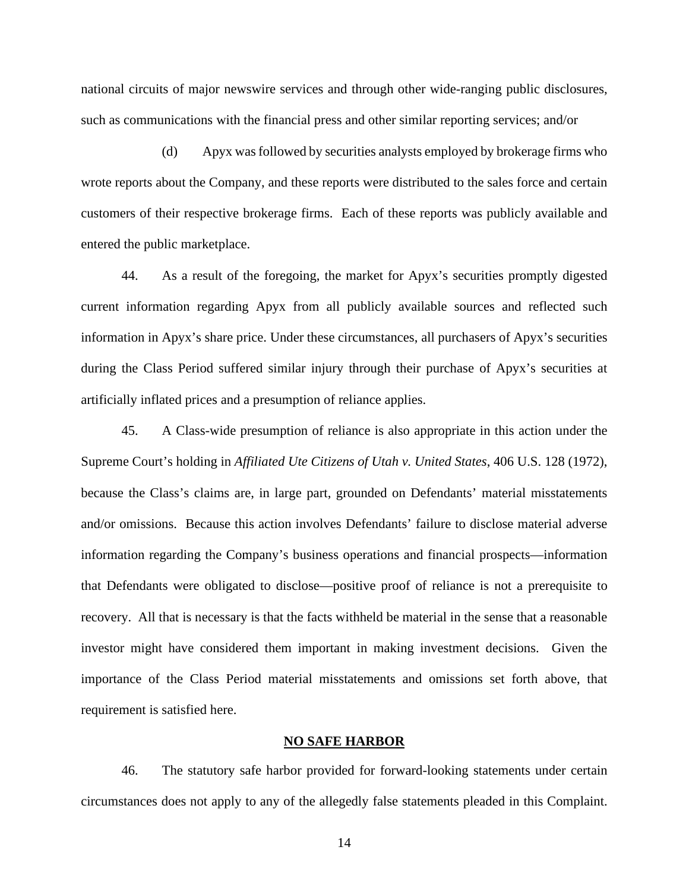national circuits of major newswire services and through other wide-ranging public disclosures, such as communications with the financial press and other similar reporting services; and/or

(d) Apyx wasfollowed by securities analysts employed by brokerage firms who wrote reports about the Company, and these reports were distributed to the sales force and certain customers of their respective brokerage firms. Each of these reports was publicly available and entered the public marketplace.

44. As a result of the foregoing, the market for Apyx's securities promptly digested current information regarding Apyx from all publicly available sources and reflected such information in Apyx's share price. Under these circumstances, all purchasers of Apyx's securities during the Class Period suffered similar injury through their purchase of Apyx's securities at artificially inflated prices and a presumption of reliance applies.

45. A Class-wide presumption of reliance is also appropriate in this action under the Supreme Court's holding in *Affiliated Ute Citizens of Utah v. United States*, 406 U.S. 128 (1972), because the Class's claims are, in large part, grounded on Defendants' material misstatements and/or omissions. Because this action involves Defendants' failure to disclose material adverse information regarding the Company's business operations and financial prospects—information that Defendants were obligated to disclose—positive proof of reliance is not a prerequisite to recovery. All that is necessary is that the facts withheld be material in the sense that a reasonable investor might have considered them important in making investment decisions. Given the importance of the Class Period material misstatements and omissions set forth above, that requirement is satisfied here.

#### **NO SAFE HARBOR**

46. The statutory safe harbor provided for forward-looking statements under certain circumstances does not apply to any of the allegedly false statements pleaded in this Complaint.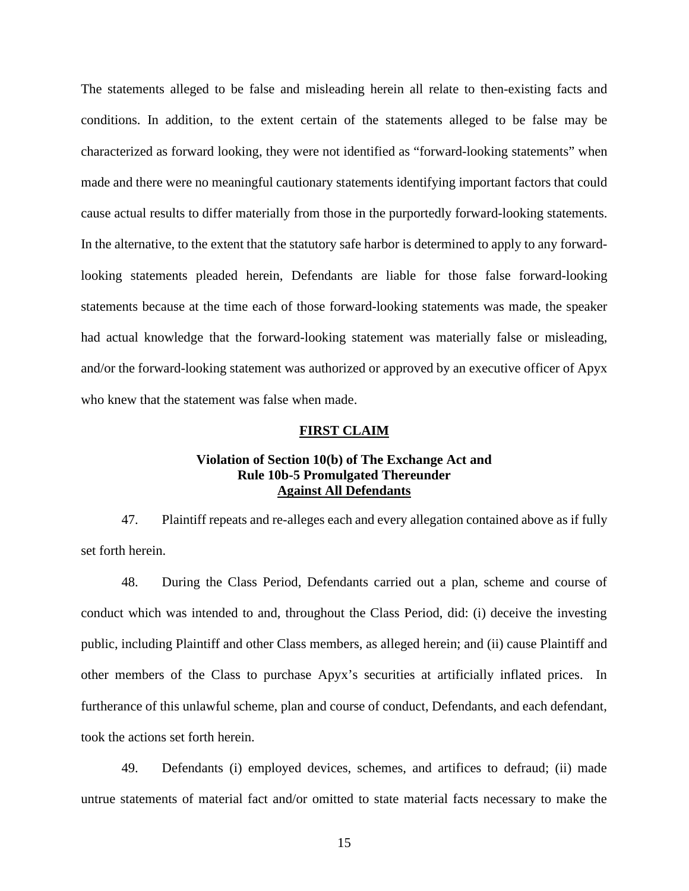The statements alleged to be false and misleading herein all relate to then-existing facts and conditions. In addition, to the extent certain of the statements alleged to be false may be characterized as forward looking, they were not identified as "forward-looking statements" when made and there were no meaningful cautionary statements identifying important factors that could cause actual results to differ materially from those in the purportedly forward-looking statements. In the alternative, to the extent that the statutory safe harbor is determined to apply to any forwardlooking statements pleaded herein, Defendants are liable for those false forward-looking statements because at the time each of those forward-looking statements was made, the speaker had actual knowledge that the forward-looking statement was materially false or misleading, and/or the forward-looking statement was authorized or approved by an executive officer of Apyx who knew that the statement was false when made.

#### **FIRST CLAIM**

# **Violation of Section 10(b) of The Exchange Act and Rule 10b-5 Promulgated Thereunder Against All Defendants**

47. Plaintiff repeats and re-alleges each and every allegation contained above as if fully set forth herein.

48. During the Class Period, Defendants carried out a plan, scheme and course of conduct which was intended to and, throughout the Class Period, did: (i) deceive the investing public, including Plaintiff and other Class members, as alleged herein; and (ii) cause Plaintiff and other members of the Class to purchase Apyx's securities at artificially inflated prices. In furtherance of this unlawful scheme, plan and course of conduct, Defendants, and each defendant, took the actions set forth herein.

49. Defendants (i) employed devices, schemes, and artifices to defraud; (ii) made untrue statements of material fact and/or omitted to state material facts necessary to make the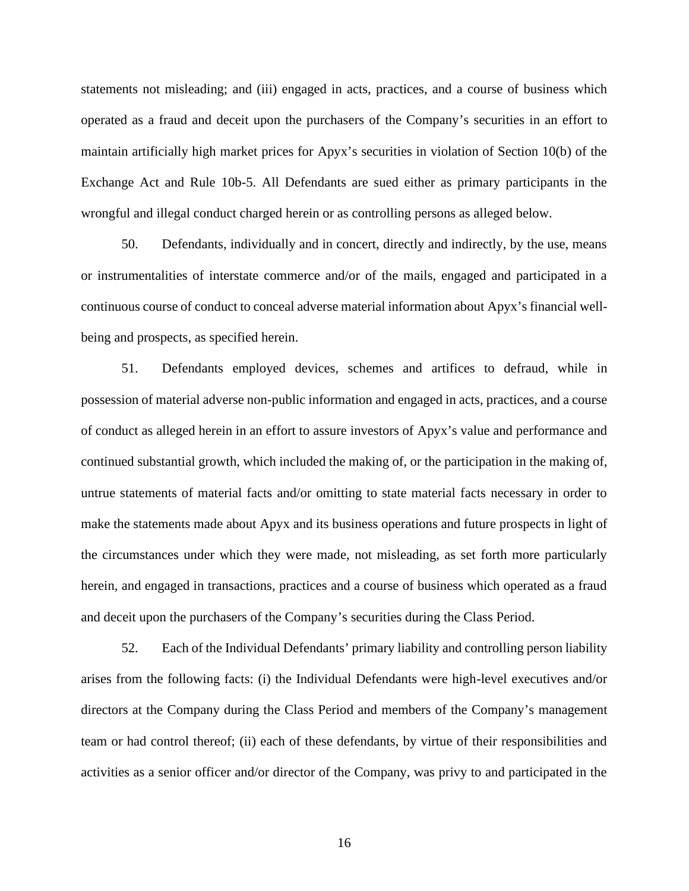statements not misleading; and (iii) engaged in acts, practices, and a course of business which operated as a fraud and deceit upon the purchasers of the Company's securities in an effort to maintain artificially high market prices for Apyx's securities in violation of Section 10(b) of the Exchange Act and Rule 10b-5. All Defendants are sued either as primary participants in the wrongful and illegal conduct charged herein or as controlling persons as alleged below.

50. Defendants, individually and in concert, directly and indirectly, by the use, means or instrumentalities of interstate commerce and/or of the mails, engaged and participated in a continuous course of conduct to conceal adverse material information about Apyx's financial well being and prospects, as specified herein.

51. Defendants employed devices, schemes and artifices to defraud, while in possession of material adverse non-public information and engaged in acts, practices, and a course of conduct as alleged herein in an effort to assure investors of Apyx's value and performance and continued substantial growth, which included the making of, or the participation in the making of, untrue statements of material facts and/or omitting to state material facts necessary in order to make the statements made about Apyx and its business operations and future prospects in light of the circumstances under which they were made, not misleading, as set forth more particularly herein, and engaged in transactions, practices and a course of business which operated as a fraud and deceit upon the purchasers of the Company's securities during the Class Period.

52. Each of the Individual Defendants' primary liability and controlling person liability arises from the following facts: (i) the Individual Defendants were high-level executives and/or directors at the Company during the Class Period and members of the Company's management team or had control thereof; (ii) each of these defendants, by virtue of their responsibilities and activities as a senior officer and/or director of the Company, was privy to and participated in the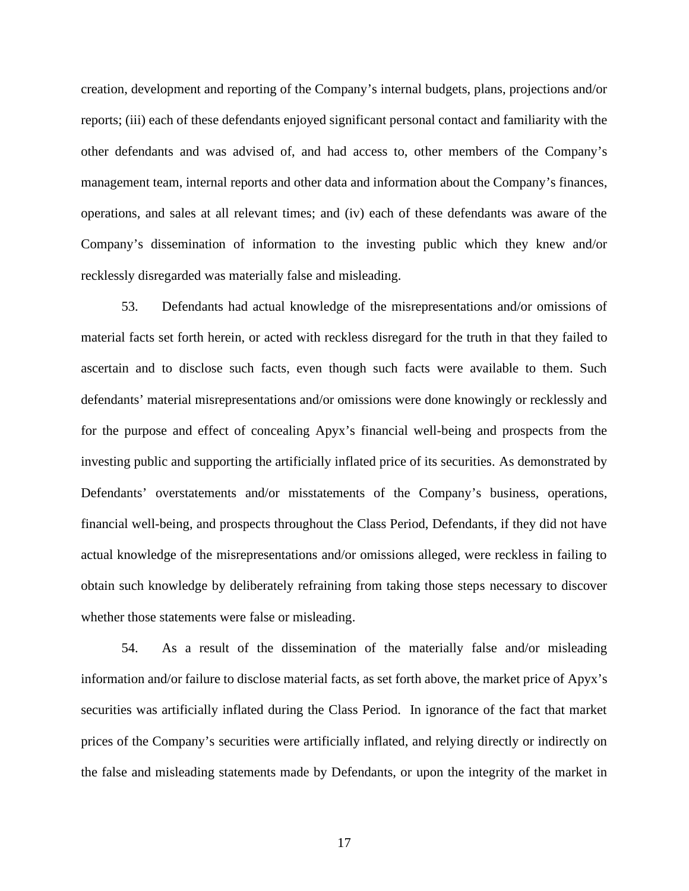creation, development and reporting of the Company's internal budgets, plans, projections and/or reports; (iii) each of these defendants enjoyed significant personal contact and familiarity with the other defendants and was advised of, and had access to, other members of the Company's management team, internal reports and other data and information about the Company's finances, operations, and sales at all relevant times; and (iv) each of these defendants was aware of the Company's dissemination of information to the investing public which they knew and/or recklessly disregarded was materially false and misleading.

53. Defendants had actual knowledge of the misrepresentations and/or omissions of material facts set forth herein, or acted with reckless disregard for the truth in that they failed to ascertain and to disclose such facts, even though such facts were available to them. Such defendants' material misrepresentations and/or omissions were done knowingly or recklessly and for the purpose and effect of concealing Apyx's financial well-being and prospects from the investing public and supporting the artificially inflated price of its securities. As demonstrated by Defendants' overstatements and/or misstatements of the Company's business, operations, financial well-being, and prospects throughout the Class Period, Defendants, if they did not have actual knowledge of the misrepresentations and/or omissions alleged, were reckless in failing to obtain such knowledge by deliberately refraining from taking those steps necessary to discover whether those statements were false or misleading.

54. As a result of the dissemination of the materially false and/or misleading information and/or failure to disclose material facts, as set forth above, the market price of Apyx's securities was artificially inflated during the Class Period. In ignorance of the fact that market prices of the Company's securities were artificially inflated, and relying directly or indirectly on the false and misleading statements made by Defendants, or upon the integrity of the market in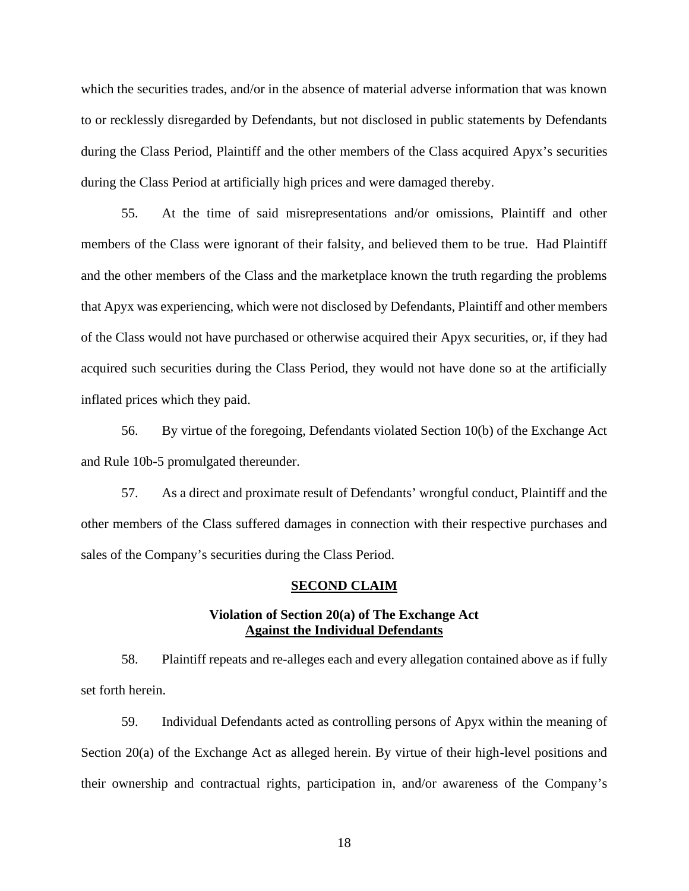which the securities trades, and/or in the absence of material adverse information that was known to or recklessly disregarded by Defendants, but not disclosed in public statements by Defendants during the Class Period, Plaintiff and the other members of the Class acquired Apyx's securities during the Class Period at artificially high prices and were damaged thereby.

55. At the time of said misrepresentations and/or omissions, Plaintiff and other members of the Class were ignorant of their falsity, and believed them to be true. Had Plaintiff and the other members of the Class and the marketplace known the truth regarding the problems that Apyx was experiencing, which were not disclosed by Defendants, Plaintiff and other members of the Class would not have purchased or otherwise acquired their Apyx securities, or, if they had acquired such securities during the Class Period, they would not have done so at the artificially inflated prices which they paid.

56. By virtue of the foregoing, Defendants violated Section 10(b) of the Exchange Act and Rule 10b-5 promulgated thereunder.

57. As a direct and proximate result of Defendants' wrongful conduct, Plaintiff and the other members of the Class suffered damages in connection with their respective purchases and sales of the Company's securities during the Class Period.

#### **SECOND CLAIM**

## **Violation of Section 20(a) of The Exchange Act Against the Individual Defendants**

58. Plaintiff repeats and re-alleges each and every allegation contained above as if fully set forth herein.

59. Individual Defendants acted as controlling persons of Apyx within the meaning of Section 20(a) of the Exchange Act as alleged herein. By virtue of their high-level positions and their ownership and contractual rights, participation in, and/or awareness of the Company's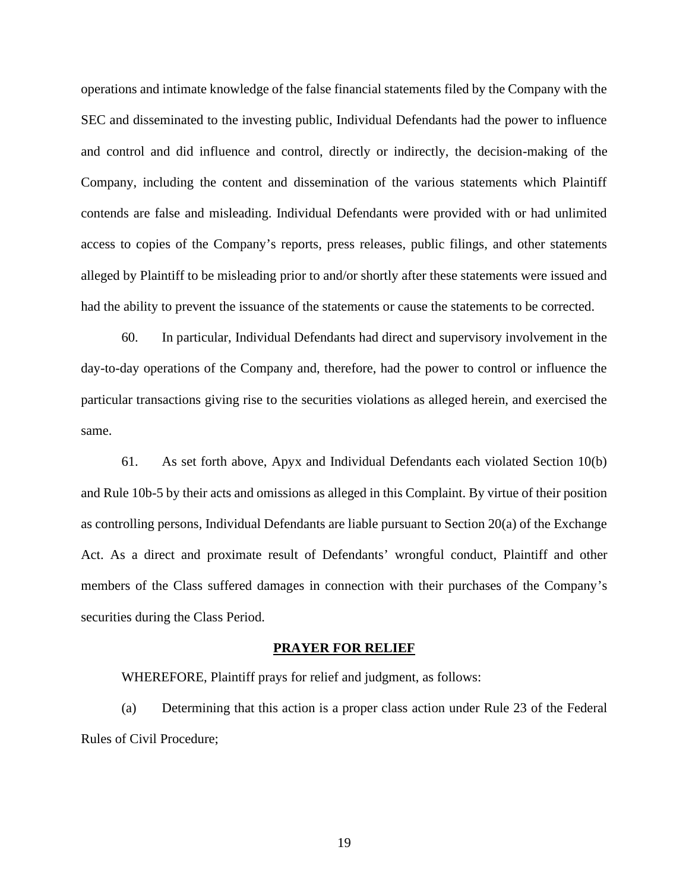operations and intimate knowledge of the false financial statements filed by the Company with the SEC and disseminated to the investing public, Individual Defendants had the power to influence and control and did influence and control, directly or indirectly, the decision-making of the Company, including the content and dissemination of the various statements which Plaintiff contends are false and misleading. Individual Defendants were provided with or had unlimited access to copies of the Company's reports, press releases, public filings, and other statements alleged by Plaintiff to be misleading prior to and/or shortly after these statements were issued and had the ability to prevent the issuance of the statements or cause the statements to be corrected.

60. In particular, Individual Defendants had direct and supervisory involvement in the day-to-day operations of the Company and, therefore, had the power to control or influence the particular transactions giving rise to the securities violations as alleged herein, and exercised the same.

61. As set forth above, Apyx and Individual Defendants each violated Section 10(b) and Rule 10b-5 by their acts and omissions as alleged in this Complaint. By virtue of their position as controlling persons, Individual Defendants are liable pursuant to Section 20(a) of the Exchange Act. As a direct and proximate result of Defendants' wrongful conduct, Plaintiff and other members of the Class suffered damages in connection with their purchases of the Company's securities during the Class Period.

#### **PRAYER FOR RELIEF**

WHEREFORE, Plaintiff prays for relief and judgment, as follows:

(a) Determining that this action is a proper class action under Rule 23 of the Federal Rules of Civil Procedure;